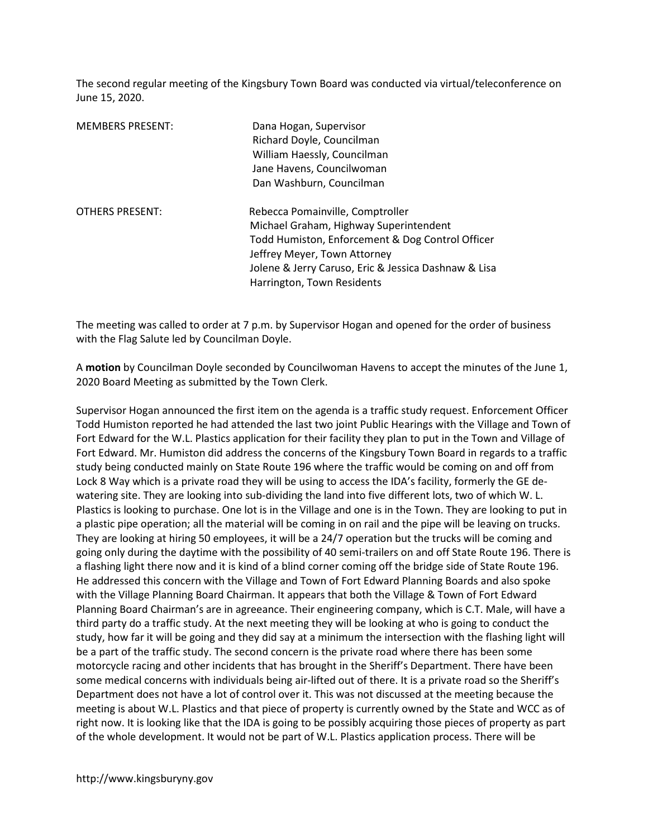The second regular meeting of the Kingsbury Town Board was conducted via virtual/teleconference on June 15, 2020.

| <b>MEMBERS PRESENT:</b> | Dana Hogan, Supervisor<br>Richard Doyle, Councilman<br>William Haessly, Councilman<br>Jane Havens, Councilwoman<br>Dan Washburn, Councilman                                                                                                          |
|-------------------------|------------------------------------------------------------------------------------------------------------------------------------------------------------------------------------------------------------------------------------------------------|
| <b>OTHERS PRESENT:</b>  | Rebecca Pomainville, Comptroller<br>Michael Graham, Highway Superintendent<br>Todd Humiston, Enforcement & Dog Control Officer<br>Jeffrey Meyer, Town Attorney<br>Jolene & Jerry Caruso, Eric & Jessica Dashnaw & Lisa<br>Harrington, Town Residents |

The meeting was called to order at 7 p.m. by Supervisor Hogan and opened for the order of business with the Flag Salute led by Councilman Doyle.

A motion by Councilman Doyle seconded by Councilwoman Havens to accept the minutes of the June 1, 2020 Board Meeting as submitted by the Town Clerk.

Supervisor Hogan announced the first item on the agenda is a traffic study request. Enforcement Officer Todd Humiston reported he had attended the last two joint Public Hearings with the Village and Town of Fort Edward for the W.L. Plastics application for their facility they plan to put in the Town and Village of Fort Edward. Mr. Humiston did address the concerns of the Kingsbury Town Board in regards to a traffic study being conducted mainly on State Route 196 where the traffic would be coming on and off from Lock 8 Way which is a private road they will be using to access the IDA's facility, formerly the GE dewatering site. They are looking into sub-dividing the land into five different lots, two of which W. L. Plastics is looking to purchase. One lot is in the Village and one is in the Town. They are looking to put in a plastic pipe operation; all the material will be coming in on rail and the pipe will be leaving on trucks. They are looking at hiring 50 employees, it will be a 24/7 operation but the trucks will be coming and going only during the daytime with the possibility of 40 semi-trailers on and off State Route 196. There is a flashing light there now and it is kind of a blind corner coming off the bridge side of State Route 196. He addressed this concern with the Village and Town of Fort Edward Planning Boards and also spoke with the Village Planning Board Chairman. It appears that both the Village & Town of Fort Edward Planning Board Chairman's are in agreeance. Their engineering company, which is C.T. Male, will have a third party do a traffic study. At the next meeting they will be looking at who is going to conduct the study, how far it will be going and they did say at a minimum the intersection with the flashing light will be a part of the traffic study. The second concern is the private road where there has been some motorcycle racing and other incidents that has brought in the Sheriff's Department. There have been some medical concerns with individuals being air-lifted out of there. It is a private road so the Sheriff's Department does not have a lot of control over it. This was not discussed at the meeting because the meeting is about W.L. Plastics and that piece of property is currently owned by the State and WCC as of right now. It is looking like that the IDA is going to be possibly acquiring those pieces of property as part of the whole development. It would not be part of W.L. Plastics application process. There will be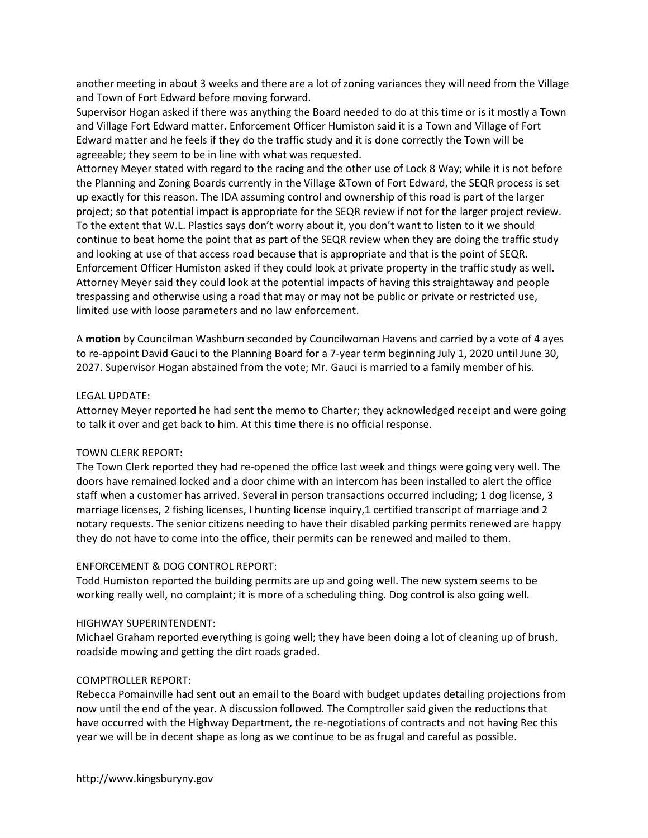another meeting in about 3 weeks and there are a lot of zoning variances they will need from the Village and Town of Fort Edward before moving forward.

Supervisor Hogan asked if there was anything the Board needed to do at this time or is it mostly a Town and Village Fort Edward matter. Enforcement Officer Humiston said it is a Town and Village of Fort Edward matter and he feels if they do the traffic study and it is done correctly the Town will be agreeable; they seem to be in line with what was requested.

Attorney Meyer stated with regard to the racing and the other use of Lock 8 Way; while it is not before the Planning and Zoning Boards currently in the Village &Town of Fort Edward, the SEQR process is set up exactly for this reason. The IDA assuming control and ownership of this road is part of the larger project; so that potential impact is appropriate for the SEQR review if not for the larger project review. To the extent that W.L. Plastics says don't worry about it, you don't want to listen to it we should continue to beat home the point that as part of the SEQR review when they are doing the traffic study and looking at use of that access road because that is appropriate and that is the point of SEQR. Enforcement Officer Humiston asked if they could look at private property in the traffic study as well. Attorney Meyer said they could look at the potential impacts of having this straightaway and people trespassing and otherwise using a road that may or may not be public or private or restricted use, limited use with loose parameters and no law enforcement.

A motion by Councilman Washburn seconded by Councilwoman Havens and carried by a vote of 4 ayes to re-appoint David Gauci to the Planning Board for a 7-year term beginning July 1, 2020 until June 30, 2027. Supervisor Hogan abstained from the vote; Mr. Gauci is married to a family member of his.

### LEGAL UPDATE:

Attorney Meyer reported he had sent the memo to Charter; they acknowledged receipt and were going to talk it over and get back to him. At this time there is no official response.

# TOWN CLERK REPORT:

The Town Clerk reported they had re-opened the office last week and things were going very well. The doors have remained locked and a door chime with an intercom has been installed to alert the office staff when a customer has arrived. Several in person transactions occurred including; 1 dog license, 3 marriage licenses, 2 fishing licenses, I hunting license inquiry,1 certified transcript of marriage and 2 notary requests. The senior citizens needing to have their disabled parking permits renewed are happy they do not have to come into the office, their permits can be renewed and mailed to them.

# ENFORCEMENT & DOG CONTROL REPORT:

Todd Humiston reported the building permits are up and going well. The new system seems to be working really well, no complaint; it is more of a scheduling thing. Dog control is also going well.

### HIGHWAY SUPERINTENDENT:

Michael Graham reported everything is going well; they have been doing a lot of cleaning up of brush, roadside mowing and getting the dirt roads graded.

# COMPTROLLER REPORT:

Rebecca Pomainville had sent out an email to the Board with budget updates detailing projections from now until the end of the year. A discussion followed. The Comptroller said given the reductions that have occurred with the Highway Department, the re-negotiations of contracts and not having Rec this year we will be in decent shape as long as we continue to be as frugal and careful as possible.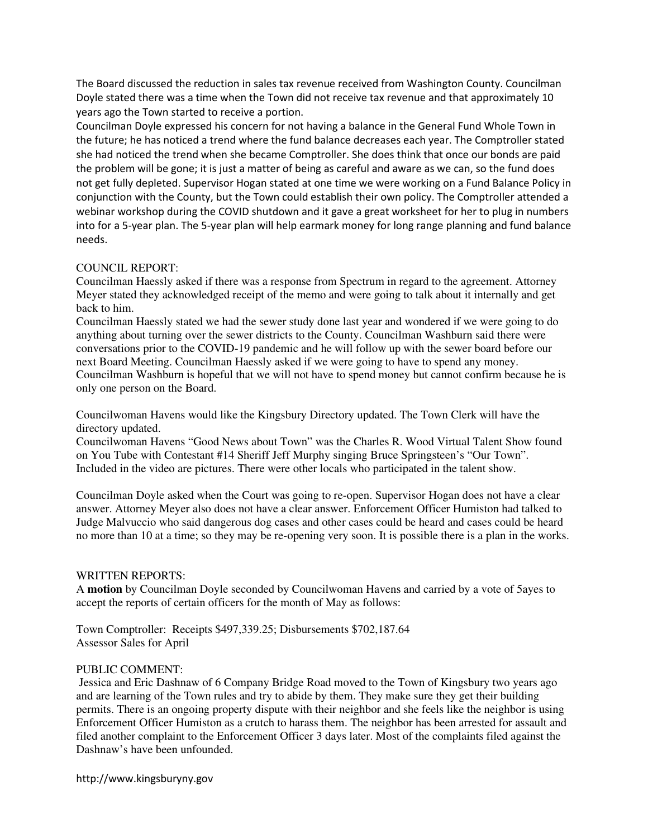The Board discussed the reduction in sales tax revenue received from Washington County. Councilman Doyle stated there was a time when the Town did not receive tax revenue and that approximately 10 years ago the Town started to receive a portion.

Councilman Doyle expressed his concern for not having a balance in the General Fund Whole Town in the future; he has noticed a trend where the fund balance decreases each year. The Comptroller stated she had noticed the trend when she became Comptroller. She does think that once our bonds are paid the problem will be gone; it is just a matter of being as careful and aware as we can, so the fund does not get fully depleted. Supervisor Hogan stated at one time we were working on a Fund Balance Policy in conjunction with the County, but the Town could establish their own policy. The Comptroller attended a webinar workshop during the COVID shutdown and it gave a great worksheet for her to plug in numbers into for a 5-year plan. The 5-year plan will help earmark money for long range planning and fund balance needs.

# COUNCIL REPORT:

Councilman Haessly asked if there was a response from Spectrum in regard to the agreement. Attorney Meyer stated they acknowledged receipt of the memo and were going to talk about it internally and get back to him.

Councilman Haessly stated we had the sewer study done last year and wondered if we were going to do anything about turning over the sewer districts to the County. Councilman Washburn said there were conversations prior to the COVID-19 pandemic and he will follow up with the sewer board before our next Board Meeting. Councilman Haessly asked if we were going to have to spend any money. Councilman Washburn is hopeful that we will not have to spend money but cannot confirm because he is only one person on the Board.

Councilwoman Havens would like the Kingsbury Directory updated. The Town Clerk will have the directory updated.

Councilwoman Havens "Good News about Town" was the Charles R. Wood Virtual Talent Show found on You Tube with Contestant #14 Sheriff Jeff Murphy singing Bruce Springsteen's "Our Town". Included in the video are pictures. There were other locals who participated in the talent show.

Councilman Doyle asked when the Court was going to re-open. Supervisor Hogan does not have a clear answer. Attorney Meyer also does not have a clear answer. Enforcement Officer Humiston had talked to Judge Malvuccio who said dangerous dog cases and other cases could be heard and cases could be heard no more than 10 at a time; so they may be re-opening very soon. It is possible there is a plan in the works.

# WRITTEN REPORTS:

A **motion** by Councilman Doyle seconded by Councilwoman Havens and carried by a vote of 5ayes to accept the reports of certain officers for the month of May as follows:

Town Comptroller: Receipts \$497,339.25; Disbursements \$702,187.64 Assessor Sales for April

# PUBLIC COMMENT:

 Jessica and Eric Dashnaw of 6 Company Bridge Road moved to the Town of Kingsbury two years ago and are learning of the Town rules and try to abide by them. They make sure they get their building permits. There is an ongoing property dispute with their neighbor and she feels like the neighbor is using Enforcement Officer Humiston as a crutch to harass them. The neighbor has been arrested for assault and filed another complaint to the Enforcement Officer 3 days later. Most of the complaints filed against the Dashnaw's have been unfounded.

http://www.kingsburyny.gov